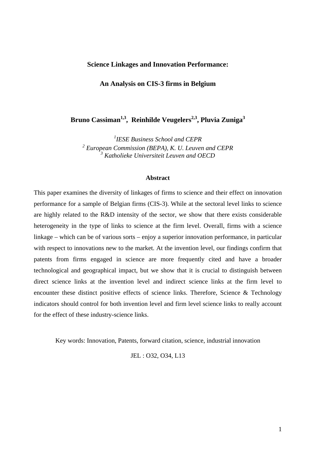# **Science Linkages and Innovation Performance:**

**An Analysis on CIS-3 firms in Belgium** 

Bruno Cassiman<sup>1,3</sup>, Reinhilde Veugelers<sup>2,3</sup>, Pluvia Zuniga<sup>3</sup>

*1 IESE Business School and CEPR*  <sup>2</sup> European Commission (BEPA), K. U. Leuven and CEPR <sup>3</sup> Katholieke Universiteit Leuven and OECD

### **Abstract**

This paper examines the diversity of linkages of firms to science and their effect on innovation performance for a sample of Belgian firms (CIS-3). While at the sectoral level links to science are highly related to the R&D intensity of the sector, we show that there exists considerable heterogeneity in the type of links to science at the firm level. Overall, firms with a science linkage – which can be of various sorts – enjoy a superior innovation performance, in particular with respect to innovations new to the market. At the invention level, our findings confirm that patents from firms engaged in science are more frequently cited and have a broader technological and geographical impact, but we show that it is crucial to distinguish between direct science links at the invention level and indirect science links at the firm level to encounter these distinct positive effects of science links. Therefore, Science & Technology indicators should control for both invention level and firm level science links to really account for the effect of these industry-science links.

Key words: Innovation, Patents, forward citation, science, industrial innovation

JEL : O32, O34, L13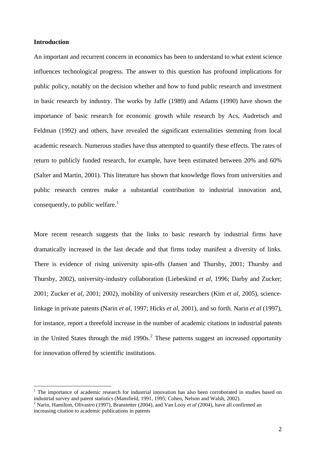# **Introduction**

1

An important and recurrent concern in economics has been to understand to what extent science influences technological progress. The answer to this question has profound implications for public policy, notably on the decision whether and how to fund public research and investment in basic research by industry. The works by Jaffe (1989) and Adams (1990) have shown the importance of basic research for economic growth while research by Acs, Audretsch and Feldman (1992) and others, have revealed the significant externalities stemming from local academic research. Numerous studies have thus attempted to quantify these effects. The rates of return to publicly funded research, for example, have been estimated between 20% and 60% (Salter and Martin, 2001). This literature has shown that knowledge flows from universities and public research centres make a substantial contribution to industrial innovation and, consequently, to public welfare.<sup>[1](#page-1-0)</sup>

More recent research suggests that the links to basic research by industrial firms have dramatically increased in the last decade and that firms today manifest a diversity of links. There is evidence of rising university spin-offs (Jansen and Thursby, 2001; Thursby and Thursby, 2002), university-industry collaboration (Liebeskind *et al*, 1996; Darby and Zucker; 2001; Zucker e*t al*, 2001; 2002), mobility of university researchers (Kim *et al*, 2005), sciencelinkage in private patents (Narin *et al*, 1997; Hicks *et al*, 2001), and so forth. Narin *et al* (1997), for instance, report a threefold increase in the number of academic citations in industrial patents in the United States through the mid  $1990s$ <sup>[2](#page-1-1)</sup>. These patterns suggest an increased opportunity for innovation offered by scientific institutions.

<sup>&</sup>lt;sup>1</sup> The importance of academic research for industrial innovation has also been corroborated in studies based on industrial survey and patent statistics (Mansfield, 1991, 1995; Cohen, Nelson and Walsh, 2002).

<span id="page-1-1"></span><span id="page-1-0"></span><sup>2</sup> Narin, Hamilton, Olivastro (1997), Branstetter (2004), and Van Looy *et al (*2004), have all confirmed an increasing citation to academic publications in patents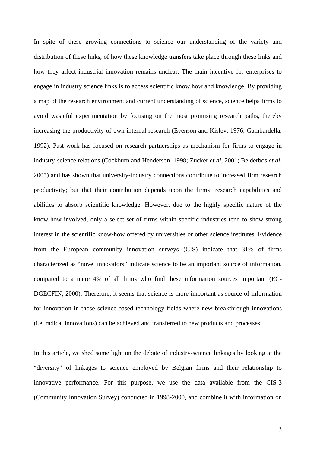In spite of these growing connections to science our understanding of the variety and distribution of these links, of how these knowledge transfers take place through these links and how they affect industrial innovation remains unclear. The main incentive for enterprises to engage in industry science links is to access scientific know how and knowledge. By providing a map of the research environment and current understanding of science, science helps firms to avoid wasteful experimentation by focusing on the most promising research paths, thereby increasing the productivity of own internal research (Evenson and Kislev, 1976; Gambardella, 1992). Past work has focused on research partnerships as mechanism for firms to engage in industry-science relations (Cockburn and Henderson, 1998; Zucker *et al*, 2001; Belderbos *et al*, 2005) and has shown that university-industry connections contribute to increased firm research productivity; but that their contribution depends upon the firms' research capabilities and abilities to absorb scientific knowledge. However, due to the highly specific nature of the know-how involved, only a select set of firms within specific industries tend to show strong interest in the scientific know-how offered by universities or other science institutes. Evidence from the European community innovation surveys (CIS) indicate that 31% of firms characterized as "novel innovators" indicate science to be an important source of information, compared to a mere 4% of all firms who find these information sources important (EC-DGECFIN, 2000). Therefore, it seems that science is more important as source of information for innovation in those science-based technology fields where new breakthrough innovations (i.e. radical innovations) can be achieved and transferred to new products and processes.

In this article, we shed some light on the debate of industry-science linkages by looking at the "diversity" of linkages to science employed by Belgian firms and their relationship to innovative performance. For this purpose, we use the data available from the CIS-3 (Community Innovation Survey) conducted in 1998-2000, and combine it with information on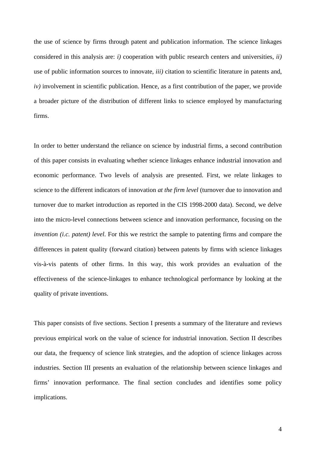the use of science by firms through patent and publication information. The science linkages considered in this analysis are: *i)* cooperation with public research centers and universities, *ii)* use of public information sources to innovate*, iii)* citation to scientific literature in patents and, *iv*) involvement in scientific publication. Hence, as a first contribution of the paper, we provide a broader picture of the distribution of different links to science employed by manufacturing firms.

In order to better understand the reliance on science by industrial firms, a second contribution of this paper consists in evaluating whether science linkages enhance industrial innovation and economic performance. Two levels of analysis are presented. First, we relate linkages to science to the different indicators of innovation *at the firm level* (turnover due to innovation and turnover due to market introduction as reported in the CIS 1998-2000 data). Second, we delve into the micro-level connections between science and innovation performance, focusing on the *invention (i.c. patent) level*. For this we restrict the sample to patenting firms and compare the differences in patent quality (forward citation) between patents by firms with science linkages vis-à-vis patents of other firms. In this way, this work provides an evaluation of the effectiveness of the science-linkages to enhance technological performance by looking at the quality of private inventions.

This paper consists of five sections. Section I presents a summary of the literature and reviews previous empirical work on the value of science for industrial innovation. Section II describes our data, the frequency of science link strategies, and the adoption of science linkages across industries. Section III presents an evaluation of the relationship between science linkages and firms' innovation performance. The final section concludes and identifies some policy implications.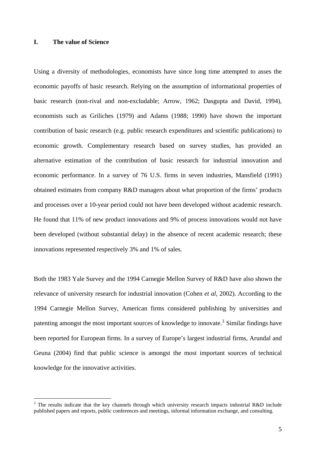# <span id="page-4-0"></span>**I. The value of Science**

1

Using a diversity of methodologies, economists have since long time attempted to asses the economic payoffs of basic research. Relying on the assumption of informational properties of basic research (non-rival and non-excludable; Arrow, 1962; Dasgupta and David, 1994), economists such as Griliches (1979) and Adams (1988; 1990) have shown the important contribution of basic research (e.g. public research expenditures and scientific publications) to economic growth. Complementary research based on survey studies, has provided an alternative estimation of the contribution of basic research for industrial innovation and economic performance. In a survey of 76 U.S. firms in seven industries, Mansfield (1991) obtained estimates from company R&D managers about what proportion of the firms' products and processes over a 10-year period could not have been developed without academic research. He found that 11% of new product innovations and 9% of process innovations would not have been developed (without substantial delay) in the absence of recent academic research; these innovations represented respectively 3% and 1% of sales.

Both the 1983 Yale Survey and the 1994 Carnegie Mellon Survey of R&D have also shown the relevance of university research for industrial innovation (Cohen *et al*, 2002). According to the 1994 Carnegie Mellon Survey, American firms considered publishing by universities and patenting amongst the most important sources of knowledge to innovate.<sup>[3](#page-4-0)</sup> Similar findings have been reported for European firms. In a survey of Europe's largest industrial firms, Arundal and Geuna (2004) find that public science is amongst the most important sources of technical knowledge for the innovative activities.

<sup>&</sup>lt;sup>3</sup> The results indicate that the key channels through which university research impacts industrial R&D include published papers and reports, public conferences and meetings, informal information exchange, and consulting.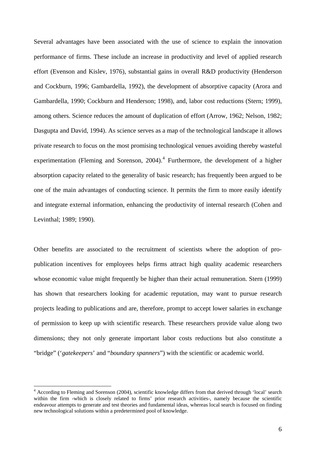<span id="page-5-0"></span>Several advantages have been associated with the use of science to explain the innovation performance of firms. These include an increase in productivity and level of applied research effort (Evenson and Kislev, 1976), substantial gains in overall R&D productivity (Henderson and Cockburn, 1996; Gambardella, 1992), the development of absorptive capacity (Arora and Gambardella, 1990; Cockburn and Henderson; 1998), and, labor cost reductions (Stern; 1999), among others. Science reduces the amount of duplication of effort (Arrow, 1962; Nelson, 1982; Dasgupta and David, 1994). As science serves as a map of the technological landscape it allows private research to focus on the most promising technological venues avoiding thereby wasteful experimentation (Fleming and Sorenson,  $2004$  $2004$ ).<sup>4</sup> Furthermore, the development of a higher absorption capacity related to the generality of basic research; has frequently been argued to be one of the main advantages of conducting science. It permits the firm to more easily identify and integrate external information, enhancing the productivity of internal research (Cohen and Levinthal; 1989; 1990).

Other benefits are associated to the recruitment of scientists where the adoption of propublication incentives for employees helps firms attract high quality academic researchers whose economic value might frequently be higher than their actual remuneration. Stern (1999) has shown that researchers looking for academic reputation, may want to pursue research projects leading to publications and are, therefore, prompt to accept lower salaries in exchange of permission to keep up with scientific research. These researchers provide value along two dimensions; they not only generate important labor costs reductions but also constitute a "bridge" ('*gatekeepers*' and "*boundary spanners*") with the scientific or academic world.

<sup>&</sup>lt;sup>4</sup> According to Fleming and Sorenson (2004), scientific knowledge differs from that derived through 'local' search within the firm -which is closely related to firms' prior research activities-, namely because the scientific endeavour attempts to generate and test theories and fundamental ideas, whereas local search is focused on finding new technological solutions within a predetermined pool of knowledge.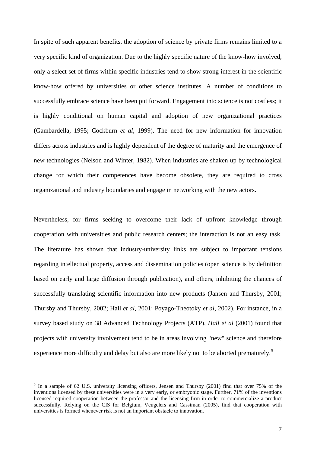<span id="page-6-0"></span>In spite of such apparent benefits, the adoption of science by private firms remains limited to a very specific kind of organization. Due to the highly specific nature of the know-how involved, only a select set of firms within specific industries tend to show strong interest in the scientific know-how offered by universities or other science institutes. A number of conditions to successfully embrace science have been put forward. Engagement into science is not costless; it is highly conditional on human capital and adoption of new organizational practices (Gambardella, 1995; Cockburn *et al,* 1999). The need for new information for innovation differs across industries and is highly dependent of the degree of maturity and the emergence of new technologies (Nelson and Winter, 1982). When industries are shaken up by technological change for which their competences have become obsolete, they are required to cross organizational and industry boundaries and engage in networking with the new actors.

Nevertheless, for firms seeking to overcome their lack of upfront knowledge through cooperation with universities and public research centers; the interaction is not an easy task. The literature has shown that industry-university links are subject to important tensions regarding intellectual property, access and dissemination policies (open science is by definition based on early and large diffusion through publication), and others, inhibiting the chances of successfully translating scientific information into new products (Jansen and Thursby, 2001; Thursby and Thursby, 2002; Hall *et al,* 2001; P[oyago-Theotoky](http://econpapers.repec.org/RAS/ppo17.htm) *et al,* 2002). For instance, in a survey based study on 38 Advanced Technology Projects (ATP), *Hall et al* (2001) found that projects with university involvement tend to be in areas involving "new" science and therefore experience more difficulty and delay but also are more likely not to be aborted prematurely.<sup>[5](#page-6-0)</sup>

<sup>&</sup>lt;sup>5</sup> In a sample of 62 U.S. university licensing officers, Jensen and Thursby (2001) find that over 75% of the inventions licensed by these universities were in a very early, or embryonic stage. Further, 71% of the inventions licensed required cooperation between the professor and the licensing firm in order to commercialize a product successfully. Relying on the CIS for Belgium, Veugelers and Cassiman (2005), find that cooperation with universities is formed whenever risk is not an important obstacle to innovation.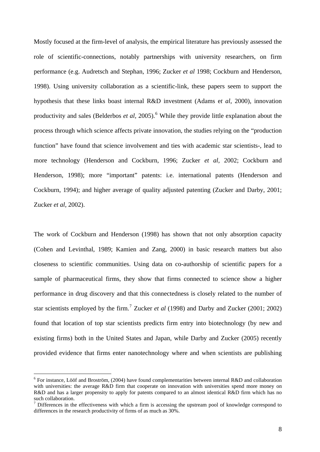<span id="page-7-0"></span>Mostly focused at the firm-level of analysis, the empirical literature has previously assessed the role of scientific-connections, notably partnerships with university researchers, on firm performance (e.g. Audretsch and Stephan, 1996; Zucker *et al* 1998; Cockburn and Henderson, 1998). Using university collaboration as a scientific-link, these papers seem to support the hypothesis that these links boast internal R&D investment (Adams e*t al*, 2000), innovation productivity and sales (Belderbos *et al*, 2005).<sup>[6](#page-7-0)</sup> While they provide little explanation about the process through which science affects private innovation, the studies relying on the "production function" have found that science involvement and ties with academic star scientists-, lead to more technology (Henderson and Cockburn, 1996; Zucker *et al*, 2002; Cockburn and Henderson, 1998); more "important" patents: i.e. international patents (Henderson and Cockburn, 1994); and higher average of quality adjusted patenting (Zucker and Darby, 2001; Zucker *et al*, 2002).

The work of Cockburn and Henderson (1998) has shown that not only absorption capacity (Cohen and Levinthal, 1989; Kamien and Zang, 2000) in basic research matters but also closeness to scientific communities. Using data on co-authorship of scientific papers for a sample of pharmaceutical firms, they show that firms connected to science show a higher performance in drug discovery and that this connectedness is closely related to the number of star scientists employed by the firm.<sup>[7](#page-7-0)</sup> Zucker *et al* (1998) and Darby and Zucker (2001; 2002) found that location of top star scientists predicts firm entry into biotechnology (by new and existing firms) both in the United States and Japan, while Darby and Zucker (2005) recently provided evidence that firms enter nanotechnology where and when scientists are publishing

<sup>&</sup>lt;sup>6</sup> For instance, Lööf and Broström, (2004) have found complementarities between internal R&D and collaboration with universities: the average R&D firm that cooperate on innovation with universities spend more money on R&D and has a larger propensity to apply for patents compared to an almost identical R&D firm which has no such collaboration.

 $<sup>7</sup>$  Differences in the effectiveness with which a firm is accessing the upstream pool of knowledge correspond to</sup> differences in the research productivity of firms of as much as 30%.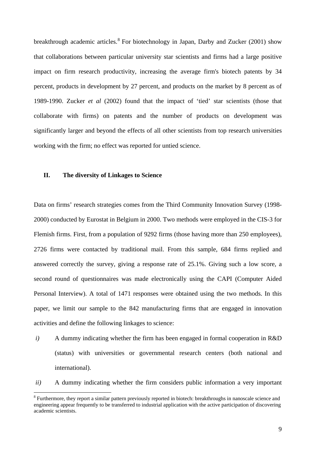<span id="page-8-0"></span>breakthrough academic articles.<sup>[8](#page-8-0)</sup> For biotechnology in Japan, Darby and Zucker (2001) show that collaborations between particular university star scientists and firms had a large positive impact on firm research productivity, increasing the average firm's biotech patents by 34 percent, products in development by 27 percent, and products on the market by 8 percent as of 1989-1990. Zucker *et al* (2002) found that the impact of 'tied' star scientists (those that collaborate with firms) on patents and the number of products on development was significantly larger and beyond the effects of all other scientists from top research universities working with the firm; no effect was reported for untied science.

# **II. The diversity of Linkages to Science**

1

Data on firms' research strategies comes from the Third Community Innovation Survey (1998- 2000) conducted by Eurostat in Belgium in 2000. Two methods were employed in the CIS-3 for Flemish firms. First, from a population of 9292 firms (those having more than 250 employees), 2726 firms were contacted by traditional mail. From this sample, 684 firms replied and answered correctly the survey, giving a response rate of 25.1%. Giving such a low score, a second round of questionnaires was made electronically using the CAPI (Computer Aided Personal Interview). A total of 1471 responses were obtained using the two methods. In this paper, we limit our sample to the 842 manufacturing firms that are engaged in innovation activities and define the following linkages to science:

- *i*) A dummy indicating whether the firm has been engaged in formal cooperation in R&D (status) with universities or governmental research centers (both national and international).
- *ii)* A dummy indicating whether the firm considers public information a very important

<sup>&</sup>lt;sup>8</sup> Furthermore, they report a similar pattern previously reported in biotech: breakthroughs in nanoscale science and engineering appear frequently to be transferred to industrial application with the active participation of discovering academic scientists.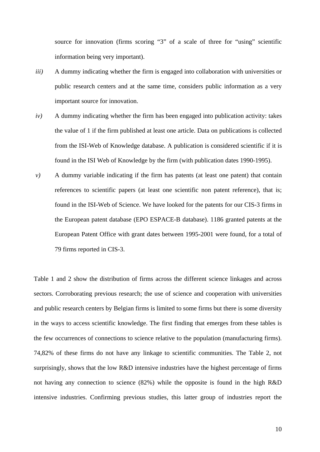source for innovation (firms scoring "3" of a scale of three for "using" scientific information being very important).

- *iii*) A dummy indicating whether the firm is engaged into collaboration with universities or public research centers and at the same time, considers public information as a very important source for innovation.
- $iv)$  A dummy indicating whether the firm has been engaged into publication activity: takes the value of 1 if the firm published at least one article. Data on publications is collected from the ISI-Web of Knowledge database. A publication is considered scientific if it is found in the ISI Web of Knowledge by the firm (with publication dates 1990-1995).
- *v*) A dummy variable indicating if the firm has patents (at least one patent) that contain references to scientific papers (at least one scientific non patent reference), that is; found in the ISI-Web of Science. We have looked for the patents for our CIS-3 firms in the European patent database (EPO ESPACE-B database). 1186 granted patents at the European Patent Office with grant dates between 1995-2001 were found, for a total of 79 firms reported in CIS-3.

Table 1 and 2 show the distribution of firms across the different science linkages and across sectors. Corroborating previous research; the use of science and cooperation with universities and public research centers by Belgian firms is limited to some firms but there is some diversity in the ways to access scientific knowledge. The first finding that emerges from these tables is the few occurrences of connections to science relative to the population (manufacturing firms). 74,82% of these firms do not have any linkage to scientific communities. The Table 2, not surprisingly, shows that the low R&D intensive industries have the highest percentage of firms not having any connection to science (82%) while the opposite is found in the high R&D intensive industries. Confirming previous studies, this latter group of industries report the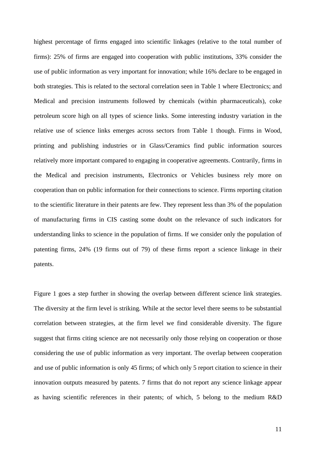highest percentage of firms engaged into scientific linkages (relative to the total number of firms): 25% of firms are engaged into cooperation with public institutions, 33% consider the use of public information as very important for innovation; while 16% declare to be engaged in both strategies. This is related to the sectoral correlation seen in Table 1 where Electronics; and Medical and precision instruments followed by chemicals (within pharmaceuticals), coke petroleum score high on all types of science links. Some interesting industry variation in the relative use of science links emerges across sectors from Table 1 though. Firms in Wood, printing and publishing industries or in Glass/Ceramics find public information sources relatively more important compared to engaging in cooperative agreements. Contrarily, firms in the Medical and precision instruments, Electronics or Vehicles business rely more on cooperation than on public information for their connections to science. Firms reporting citation to the scientific literature in their patents are few. They represent less than 3% of the population of manufacturing firms in CIS casting some doubt on the relevance of such indicators for understanding links to science in the population of firms. If we consider only the population of patenting firms, 24% (19 firms out of 79) of these firms report a science linkage in their patents.

Figure 1 goes a step further in showing the overlap between different science link strategies. The diversity at the firm level is striking. While at the sector level there seems to be substantial correlation between strategies, at the firm level we find considerable diversity. The figure suggest that firms citing science are not necessarily only those relying on cooperation or those considering the use of public information as very important. The overlap between cooperation and use of public information is only 45 firms; of which only 5 report citation to science in their innovation outputs measured by patents. 7 firms that do not report any science linkage appear as having scientific references in their patents; of which, 5 belong to the medium R&D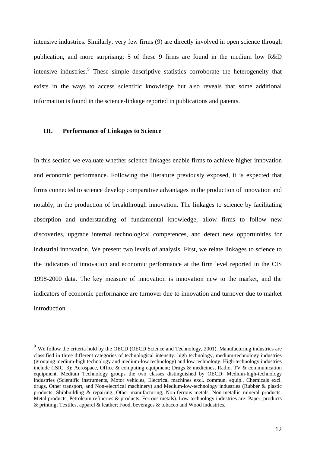<span id="page-11-0"></span>intensive industries. Similarly, very few firms (9) are directly involved in open science through publication, and more surprising; 5 of these 9 firms are found in the medium low R&D intensive industries.<sup>[9](#page-11-0)</sup> These simple descriptive statistics corroborate the heterogeneity that exists in the ways to access scientific knowledge but also reveals that some additional information is found in the science-linkage reported in publications and patents.

# **III. Performance of Linkages to Science**

<u>.</u>

In this section we evaluate whether science linkages enable firms to achieve higher innovation and economic performance. Following the literature previously exposed, it is expected that firms connected to science develop comparative advantages in the production of innovation and notably, in the production of breakthrough innovation. The linkages to science by facilitating absorption and understanding of fundamental knowledge, allow firms to follow new discoveries, upgrade internal technological competences, and detect new opportunities for industrial innovation. We present two levels of analysis. First, we relate linkages to science to the indicators of innovation and economic performance at the firm level reported in the CIS 1998-2000 data. The key measure of innovation is innovation new to the market, and the indicators of economic performance are turnover due to innovation and turnover due to market introduction.

 $9$  We follow the criteria hold by the OECD (OECD Science and Technology, 2001). Manufacturing industries are classified in three different categories of technological intensity: high technology, medium-technology industries (grouping medium-high technology and medium-low technology) and low technology. High-technology industries include (ISIC, 3): Aerospace, Office & computing equipment; Drugs & medicines, Radio, TV & communication equipment. Medium Technology groups the two classes distinguished by OECD: Medium-high-technology industries (Scientific instruments, Motor vehicles, Electrical machines excl. commun. equip., Chemicals excl. drugs, Other transport, and Non-electrical machinery) and Medium-low-technology industries (Rubber & plastic products, Shipbuilding & repairing, Other manufacturing, Non-ferrous metals, Non-metallic mineral products, Metal products, Petroleum refineries & products, Ferrous metals). Low-technology industries are: Paper, products & printing; Textiles, apparel & leather; Food, beverages & tobacco and Wood industries.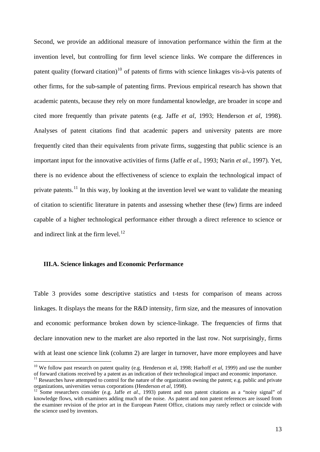<span id="page-12-0"></span>Second, we provide an additional measure of innovation performance within the firm at the invention level, but controlling for firm level science links. We compare the differences in patent quality (forward citation)<sup>[10](#page-12-0)</sup> of patents of firms with science linkages vis-à-vis patents of other firms, for the sub-sample of patenting firms. Previous empirical research has shown that academic patents, because they rely on more fundamental knowledge, are broader in scope and cited more frequently than private patents (e.g. Jaffe *et al*, 1993; Henderson *et al*, 1998). Analyses of patent citations find that academic papers and university patents are more frequently cited than their equivalents from private firms, suggesting that public science is an important input for the innovative activities of firms (Jaffe *et al.*, 1993; Narin *et al.,* 1997). Yet, there is no evidence about the effectiveness of science to explain the technological impact of private patents.<sup>[11](#page-12-0)</sup> In this way, by looking at the invention level we want to validate the meaning of citation to scientific literature in patents and assessing whether these (few) firms are indeed capable of a higher technological performance either through a direct reference to science or and indirect link at the firm level. $12$ 

# **III.A. Science linkages and Economic Performance**

1

Table 3 provides some descriptive statistics and t-tests for comparison of means across linkages. It displays the means for the R&D intensity, firm size, and the measures of innovation and economic performance broken down by science-linkage. The frequencies of firms that declare innovation new to the market are also reported in the last row. Not surprisingly, firms with at least one science link (column 2) are larger in turnover, have more employees and have

<sup>&</sup>lt;sup>10</sup> We follow past research on patent quality (e.g. Henderson et al, 1998; Harhoff *et al*, 1999) and use the number

of forward citations received by a patent as an indication of their technological impact and economic importance.<br><sup>11</sup> Researches have attempted to control for the nature of the organization owning the patent; e.g. public

Some researchers consider (e.g. Jaffe *et al.*, 1993) patent and non patent citations as a "noisy signal" of knowledge flows, with examiners adding much of the noise. As patent and non patent references are issued from the examiner revision of the prior art in the European Patent Office, citations may rarely reflect or coincide with the science used by inventors.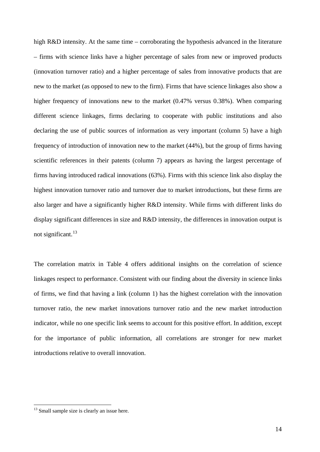<span id="page-13-0"></span>high R&D intensity. At the same time – corroborating the hypothesis advanced in the literature – firms with science links have a higher percentage of sales from new or improved products (innovation turnover ratio) and a higher percentage of sales from innovative products that are new to the market (as opposed to new to the firm). Firms that have science linkages also show a higher frequency of innovations new to the market (0.47% versus 0.38%). When comparing different science linkages, firms declaring to cooperate with public institutions and also declaring the use of public sources of information as very important (column 5) have a high frequency of introduction of innovation new to the market (44%), but the group of firms having scientific references in their patents (column 7) appears as having the largest percentage of firms having introduced radical innovations (63%). Firms with this science link also display the highest innovation turnover ratio and turnover due to market introductions, but these firms are also larger and have a significantly higher R&D intensity. While firms with different links do display significant differences in size and R&D intensity, the differences in innovation output is not significant.<sup>[13](#page-13-0)</sup>

The correlation matrix in Table 4 offers additional insights on the correlation of science linkages respect to performance. Consistent with our finding about the diversity in science links of firms, we find that having a link (column 1) has the highest correlation with the innovation turnover ratio, the new market innovations turnover ratio and the new market introduction indicator, while no one specific link seems to account for this positive effort. In addition, except for the importance of public information, all correlations are stronger for new market introductions relative to overall innovation.

<sup>&</sup>lt;sup>13</sup> Small sample size is clearly an issue here.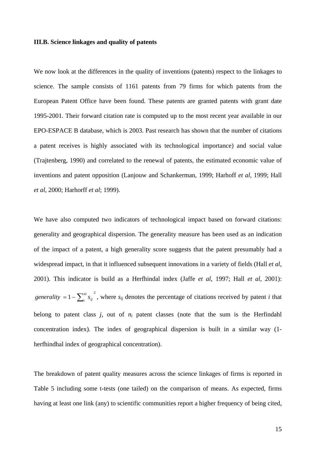## **III.B. Science linkages and quality of patents**

We now look at the differences in the quality of inventions (patents) respect to the linkages to science. The sample consists of 1161 patents from 79 firms for which patents from the European Patent Office have been found. These patents are granted patents with grant date 1995-2001. Their forward citation rate is computed up to the most recent year available in our EPO-ESPACE B database, which is 2003. Past research has shown that the number of citations a patent receives is highly associated with its technological importance) and social value (Trajtenberg, 1990) and correlated to the renewal of patents, the estimated economic value of inventions and patent opposition (Lanjouw and Schankerman, 1999; Harhoff *et al,* 1999; Hall *et al,* 2000; Harhorff *et al*; 1999).

We have also computed two indicators of technological impact based on forward citations: generality and geographical dispersion. The generality measure has been used as an indication of the impact of a patent, a high generality score suggests that the patent presumably had a widespread impact, in that it influenced subsequent innovations in a variety of fields (Hall *et al,* 2001). This indicator is build as a Herfhindal index (Jaffe *et al*, 1997; Hall *et al*, 2001): *generality* =  $1 - \sum_{i}^{n_i} s_{ij}^{2}$ , where  $s_{ij}$  denotes the percentage of citations received by patent *i* that belong to patent class  $j$ , out of  $n_i$  patent classes (note that the sum is the Herfindahl concentration index). The index of geographical dispersion is built in a similar way (1 herfhindhal index of geographical concentration).

The breakdown of patent quality measures across the science linkages of firms is reported in Table 5 including some t-tests (one tailed) on the comparison of means. As expected, firms having at least one link (any) to scientific communities report a higher frequency of being cited,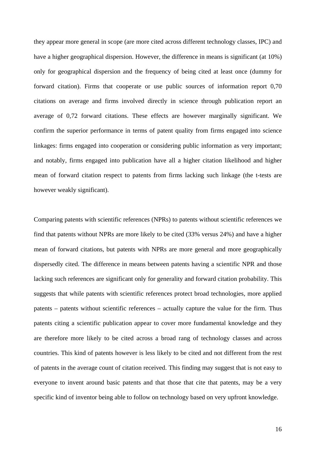they appear more general in scope (are more cited across different technology classes, IPC) and have a higher geographical dispersion. However, the difference in means is significant (at 10%) only for geographical dispersion and the frequency of being cited at least once (dummy for forward citation). Firms that cooperate or use public sources of information report 0,70 citations on average and firms involved directly in science through publication report an average of 0,72 forward citations. These effects are however marginally significant. We confirm the superior performance in terms of patent quality from firms engaged into science linkages: firms engaged into cooperation or considering public information as very important; and notably, firms engaged into publication have all a higher citation likelihood and higher mean of forward citation respect to patents from firms lacking such linkage (the t-tests are however weakly significant).

Comparing patents with scientific references (NPRs) to patents without scientific references we find that patents without NPRs are more likely to be cited (33% versus 24%) and have a higher mean of forward citations, but patents with NPRs are more general and more geographically dispersedly cited. The difference in means between patents having a scientific NPR and those lacking such references are significant only for generality and forward citation probability. This suggests that while patents with scientific references protect broad technologies, more applied patents – patents without scientific references – actually capture the value for the firm. Thus patents citing a scientific publication appear to cover more fundamental knowledge and they are therefore more likely to be cited across a broad rang of technology classes and across countries. This kind of patents however is less likely to be cited and not different from the rest of patents in the average count of citation received. This finding may suggest that is not easy to everyone to invent around basic patents and that those that cite that patents, may be a very specific kind of inventor being able to follow on technology based on very upfront knowledge.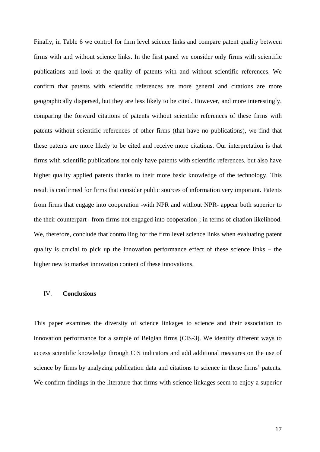Finally, in Table 6 we control for firm level science links and compare patent quality between firms with and without science links. In the first panel we consider only firms with scientific publications and look at the quality of patents with and without scientific references. We confirm that patents with scientific references are more general and citations are more geographically dispersed, but they are less likely to be cited. However, and more interestingly, comparing the forward citations of patents without scientific references of these firms with patents without scientific references of other firms (that have no publications), we find that these patents are more likely to be cited and receive more citations. Our interpretation is that firms with scientific publications not only have patents with scientific references, but also have higher quality applied patents thanks to their more basic knowledge of the technology. This result is confirmed for firms that consider public sources of information very important. Patents from firms that engage into cooperation -with NPR and without NPR- appear both superior to the their counterpart –from firms not engaged into cooperation-; in terms of citation likelihood. We, therefore, conclude that controlling for the firm level science links when evaluating patent quality is crucial to pick up the innovation performance effect of these science links – the higher new to market innovation content of these innovations.

# IV. **Conclusions**

This paper examines the diversity of science linkages to science and their association to innovation performance for a sample of Belgian firms (CIS-3). We identify different ways to access scientific knowledge through CIS indicators and add additional measures on the use of science by firms by analyzing publication data and citations to science in these firms' patents. We confirm findings in the literature that firms with science linkages seem to enjoy a superior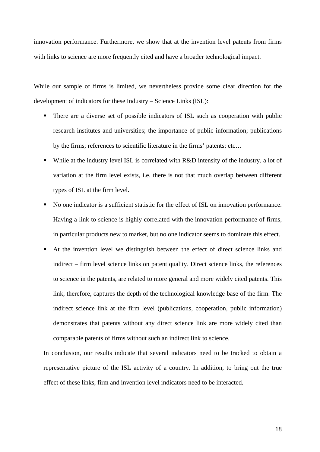innovation performance. Furthermore, we show that at the invention level patents from firms with links to science are more frequently cited and have a broader technological impact.

While our sample of firms is limited, we nevertheless provide some clear direction for the development of indicators for these Industry – Science Links (ISL):

- There are a diverse set of possible indicators of ISL such as cooperation with public research institutes and universities; the importance of public information; publications by the firms; references to scientific literature in the firms' patents; etc…
- While at the industry level ISL is correlated with R&D intensity of the industry, a lot of variation at the firm level exists, i.e. there is not that much overlap between different types of ISL at the firm level.
- No one indicator is a sufficient statistic for the effect of ISL on innovation performance. Having a link to science is highly correlated with the innovation performance of firms, in particular products new to market, but no one indicator seems to dominate this effect.
- At the invention level we distinguish between the effect of direct science links and indirect – firm level science links on patent quality. Direct science links, the references to science in the patents, are related to more general and more widely cited patents. This link, therefore, captures the depth of the technological knowledge base of the firm. The indirect science link at the firm level (publications, cooperation, public information) demonstrates that patents without any direct science link are more widely cited than comparable patents of firms without such an indirect link to science.

In conclusion, our results indicate that several indicators need to be tracked to obtain a representative picture of the ISL activity of a country. In addition, to bring out the true effect of these links, firm and invention level indicators need to be interacted.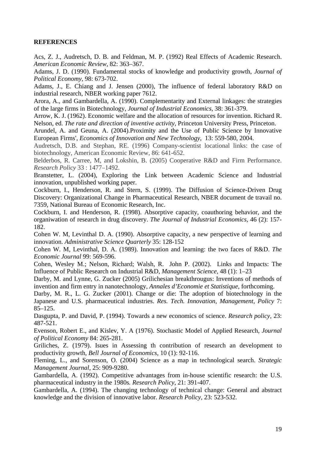# **REFERENCES**

Acs, Z. J., Audretsch, D. B. and Feldman, M. P. (1992) Real Effects of Academic Research. *American Economic Review*, 82: 363–367.

Adams, J. D. (1990). Fundamental stocks of knowledge and productivity growth, *Journal of Political Economy*, 98: 673-702.

Adams, J., E. Chiang and J. Jensen (2000), The influence of federal laboratory R&D on industrial research, NBER working paper 7612.

Arora, A., and Gambardella, A. (1990). Complementarity and External linkages: the strategies of the large firms in Biotechnology, *Journal of Industrial Economics*, 38: 361-379.

Arrow, K. J. (1962). Economic welfare and the allocation of resources for invention. Richard R. Nelson, ed. *The rate and direction of inventive activity,* Princeton University Press, Princeton.

Arundel, A. and Geuna, A. (2004).Proximity and the Use of Public Science by Innovative European Firms', *[Economics of Innovation and New Technology](http://www.tandf.co.uk/journals/titles/10438599.asp)*, 13: 559-580, 2004.

Audretsch, D.B. and Stephan, RE. (1996) Company-scientist locational links: the case of biotechnology, American Economic Review, 86: 641-652.

Belderbos, R. Carree, M, and Lokshin, B. (2005) Cooperative R&D and Firm Performance. *Research Policy* 33 : 1477–1492.

Branstetter, L. (2004), Exploring the Link between Academic Science and Industrial innovation, unpublished working paper.

Cockburn, I., Henderson, R. and Stern, S. (1999). [The Diffusion of Science-Driven Drug](http://ideas.repec.org/p/nbr/nberwo/7359.html)  [Discovery: Organizational Change in Pharmaceutical Research,](http://ideas.repec.org/p/nbr/nberwo/7359.html) [NBER document de travail](http://ideas.repec.org/s/nbr/nberwo.html) no. 7359, National Bureau of Economic Research, Inc.

Cockburn, I. and Henderson, R. (1998). Absorptive capacity, coauthoring behavior, and the organiwation of research in drug discovery. *The Journal of Industrial Economics*, 46 (2): 157- 182.

Cohen W. M, Levinthal D. A. (1990). Absorptive capacity, a new perspective of learning and innovation. *Administrative Science Quarterly* 35: 128-152

Cohen W. M, Levinthal, D. A. (1989). Innovation and learning: the two faces of R&D. *The Economic Journal* 99: 569-596.

Cohen, Wesley M.; Nelson, Richard; Walsh, R. John P. (2002). Links and Impacts: The Influence of Public Research on Industrial R&D, *Management Science*, 48 (1): 1–23

Darby, M. and Lynne, G. Zucker (2005) Grilichesian breakthrougus: Inventions of methods of invention and firm entry in nanotechnology, *Annales d'Economie et Statistique,* forthcoming.

Darby, M. R., L. G. Zucker (2001). Change or die: The adoption of biotechnology in the Japanese and U.S. pharmaceutical industries. *Res. Tech. Innovation, Management, Policy* 7: 85–125.

Dasgupta, P. and David, P. (1994). Towards a new economics of science. *Research policy,* 23: 487-521.

Evenson, Robert E., and Kislev, Y. A (1976). Stochastic Model of Applied Research*, Journal of Political Economy* 84: 265-281.

Griliches, Z. (1979). Isues in Assessing th contribution of research an development to productivity growth, *Bell Journal of Economics,* 10 (1): 92-116.

Fleming, L., and Sorenson, O. (2004) Science as a map in technological search. *Strategic Management Journal*, 25: 909-9280.

Gambardella, A. (1992). Competitive advantages from in-house scientific research: the U.S. pharmaceutical industry in the 1980s*. Research Policy,* 21: 391-407.

Gambardella, A. (1994). The changing technology of technical change: General and abstract knowledge and the division of innovative labor. *Research Policy,* 23: 523-532.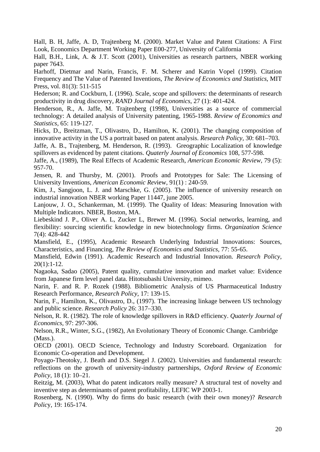Hall, B. H, Jaffe, A. D, Trajtenberg M. (2000). Market Value and Patent Citations: A First Look, Economics Department Working Paper E00-277, University of California

Hall, B.H., Link, A. & J.T. Scott (2001), Universities as research partners, NBER working paper 7643.

Harhoff, Dietmar and Narin, Francis, F. M. Scherer and Katrin Vopel (1999). [Citation](http://ideas.repec.org/a/tpr/restat/v81y1999i3p511-515.html)  [Frequency and The Value of Patented Inventions,](http://ideas.repec.org/a/tpr/restat/v81y1999i3p511-515.html) *[The Review of Economics and Statistics](http://ideas.repec.org/s/tpr/restat.html)*, MIT Press, vol. 81(3): 511-515

Hederson; R. and Cockburn, I. (1996). Scale, scope and spillovers: the determinants of research productivity in drug discovery, *RAND Journal of Economics*, 27 (1): 401-424.

Henderson, R., A. Jaffe, M. Trajtenberg (1998), Universities as a source of commercial technology: A detailed analysis of University patenting, 1965-1988. *Review of Economics and Statistics,* 65: 119-127.

Hicks, D., Breitzman, T., Olivastro, D., Hamilton, K. (2001). The changing composition of innovative activity in the US a portrait based on patent analysis. *Research Policy,* 30: 681–703.

Jaffe, A. B., Trajtenberg, M. Henderson, R. (1993). Greographic Localization of knowledge spillovers as evidenced by patent citations. *Quaterly Journal of Economics* 108, 577-598.

Jaffe, A., (1989), The Real Effects of Academic Research, *American Economic Review*, 79 (5): 957-70.

Jensen, R. and Thursby, M. (2001). Proofs and Prototypes for Sale: The Licensing of University Inventions, *American Economic Rev*iew, 91(1) : 240-59.

Kim, J., Sangjoon, L. J. and Marschke, G. (2005). The influence of university research on industrial innovation NBER working Paper 11447, june 2005.

Lanjouw, J. O., Schankerman, M. (1999). The Quality of Ideas: Measuring Innovation with Multiple Indicators. NBER, Boston, MA.

Liebeskind J. P., Oliver A. L, Zucker L, Brewer M. (1996). Social networks, learning, and flexibility: sourcing scientific knowledge in new biotechnology firms. *Organization Science*  7(4): 428-442

Mansfield, E., (1995), Academic Research Underlying Industrial Innovations: Sources, Characteristics, and Financing, *The Review of Economics and Statistics,* 77: 55-65.

Mansfield, Edwin (1991). Academic Research and Industrial Innovation. *Research Policy*,  $20(1):1-12.$ 

Nagaoka, Sadao (2005), Patent quality, cumulative innovation and market value: Evidence from Japanese firm level panel data. Hitotsubashi University, mimeo.

Narin, F. and R. P. Rozek (1988). Bibliometric Analysis of US Pharmaceutical Industry Research Performance, *Research Policy*, 17: 139-15.

Narin, F., Hamilton, K., Olivastro, D., (1997). The increasing linkage between US technology and public science. *Research Policy* 26: 317–330.

Nelson, R. R. (1982). The role of knowledge spillovers in R&D efficiency. *Quaterly Journal of Economics,* 97: 297-306.

Nelson, R.R., Winter, S.G., (1982), An Evolutionary Theory of Economic Change. Cambridge (Mass.).

OECD (2001). OECD Science, Technology and Industry Scoreboard. Organization for Economic Co-operation and Development.

Poyago-Theotoky, J. Beath and D.S. Siegel J. (2002). Universities and fundamental research: reflections on the growth of university-industry partnerships, *Oxford Review of Economic Policy*, 18 (1): 10–21.

Reitzig, M. (2003), What do patent indicators really measure? A structural test of novelty and inventive step as determinants of patent profitability, LEFIC WP 2003-1.

Rosenberg, N. (1990). Why do firms do basic research (with their own money)? *Research Polic*y, 19: 165-174.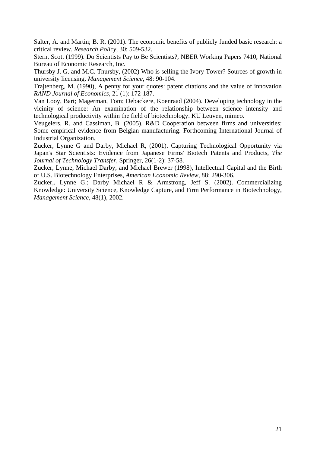Salter, A. and Martin; B. R. (2001). The economic benefits of publicly funded basic research: a critical review. *Research Policy,* 30: 509-532.

Stern, Scott (1999). Do Scientists Pay to Be Scientists?, NBER Working Papers 7410, National Bureau of Economic Research, Inc.

Thursby J. G. and M.C. Thursby, (2002) Who is selling the Ivory Tower? Sources of growth in university licensing. *Management Science,* 48: 90-104.

Trajtenberg, M. (1990), A penny for your quotes: patent citations and the value of innovation *RAND Journal of Economics,* 21 (1): 172-187.

Van Looy, Bart; Magerman, Tom; Debackere, Koenraad (2004). Developing technology in the vicinity of science: An examination of the relationship between science intensity and technological productivity within the field of biotechnology. KU Leuven, mimeo.

Veugelers, R. and Cassiman, B. (2005). R&D Cooperation between firms and universities: Some empirical evidence from Belgian manufacturing. Forthcoming International Journal of Industrial Organization.

Zucker, Lynne G and Darby, Michael R, (2001). [Capturing Technological Opportunity via](http://ideas.repec.org/a/kap/jtecht/v26y2001i1-2p37-58.html)  [Japan's Star Scientists: Evidence from Japanese Firms' Biotech Patents and Products,](http://ideas.repec.org/a/kap/jtecht/v26y2001i1-2p37-58.html) *[The](http://ideas.repec.org/s/kap/jtecht.html)  [Journal of Technology Transfer](http://ideas.repec.org/s/kap/jtecht.html)*, Springer, 26(1-2): 37-58.

Zucker, Lynne, Michael Darby, and Michael Brewer (1998), Intellectual Capital and the Birth of U.S. Biotechnology Enterprises, *American Economic Review*, 88: 290-306.

Zucker,. Lynne G.; Darby Michael R & Armstrong, Jeff S. (2002). Commercializing Knowledge: University Science, Knowledge Capture, and Firm Performance in Biotechnology, *Management Science*, 48(1), 2002.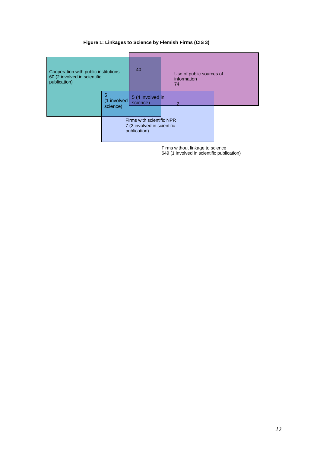# **Figure 1: Linkages to Science by Flemish Firms (CIS 3)**

| Cooperation with public institutions<br>60 (2 involved in scientific<br>publication) |                              | 40                                                                       | Use of public sources of<br>information<br>74 |  |
|--------------------------------------------------------------------------------------|------------------------------|--------------------------------------------------------------------------|-----------------------------------------------|--|
|                                                                                      | 5<br>(1 involved<br>science) |                                                                          | 5 (4 involved in                              |  |
|                                                                                      |                              | Firms with scientific NPR<br>7 (2 involved in scientific<br>publication) |                                               |  |

Firms without linkage to science 649 (1 involved in scientific publication)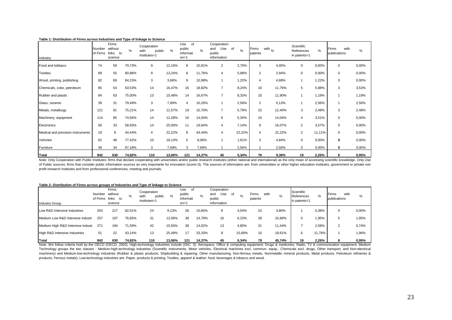| Industry                          | Number<br>of Firms | Firms<br>without<br>links<br>to<br>science | $\%$   | Cooperation<br>public<br>with<br>institutes=1 | %      | of<br>Use<br>public<br>informati<br>$on=1$ | $\frac{1}{2}$ | Cooperation<br>Use of<br>and<br>public<br>information | $\frac{0}{0}$ | Firms<br>patents | with $\frac{1}{2}$ | Scientific<br>References<br>in patents=1 | $\frac{0}{0}$ | with<br>Firms<br>publications | %     |
|-----------------------------------|--------------------|--------------------------------------------|--------|-----------------------------------------------|--------|--------------------------------------------|---------------|-------------------------------------------------------|---------------|------------------|--------------------|------------------------------------------|---------------|-------------------------------|-------|
| Food and tobbaco                  | 74                 | 59                                         | 79,73% | 9                                             | 12,16% | 8                                          | 10,81%        | 2                                                     | 2,70%         | 3                | 4,05%              | 0                                        | 0,00%         | 0                             | 0,00% |
| <b>Textiles</b>                   | 68                 | 55                                         | 80,88% | 9                                             | 13,24% | 8                                          | 11,76%        | 4                                                     | 5,88%         | 2                | 2,94%              | $\mathbf 0$                              | 0,00%         | 0                             | 0,00% |
| Wood, printing, publishing        | 82                 | 69                                         | 84,15% | 3                                             | 3,66%  | 9                                          | 10,98%        | 1                                                     | 1,22%         | 4                | 4,88%              |                                          | 1,22%         | 0                             | 0,00% |
| Chemicals, coke, petroleum        | 85                 | 54                                         | 63,53% | 14                                            | 16,47% | 16                                         | 18,82%        | $\overline{7}$                                        | 8,24%         | 10               | 11,76%             | 5                                        | 5,88%         | 3                             | 3,53% |
| Rubber and plastic                | 84                 | 63                                         | 75,00% | 13                                            | 15,48% | 14                                         | 16,67%        | $\overline{7}$                                        | 8,33%         | 10               | 11,90%             |                                          | 1,19%         |                               | 1,19% |
| Glass, ceramic                    | 39                 | 31                                         | 79,49% | 3                                             | 7,69%  | 4                                          | 10,26%        | 1                                                     | 2,56%         | 2                | 5,13%              |                                          | 2,56%         |                               | 2,56% |
| Metals, metallurgy                | 121                | 91                                         | 75,21% | 14                                            | 11,57% | 19                                         | 15,70%        | $\overline{7}$                                        | 5,79%         | 15               | 12,40%             | 3                                        | 2,48%         | 3                             | 2,48% |
| Machinery, equipment              | 114                | 85                                         | 74,56% | 14                                            | 12,28% | 16                                         | 14,04%        | 6                                                     | 5,26%         | 16               | 14,04%             | 4                                        | 3,51%         | 0                             | 0,00% |
| Electronics                       | 56                 | 33                                         | 58,93% | 14                                            | 25,00% | 11                                         | 19,64%        | $\overline{4}$                                        | 7,14%         | 9                | 16,07%             | $\overline{2}$                           | 3,57%         | 0                             | 0,00% |
| Medical and precision instruments | 18                 | 8                                          | 44,44% | 4                                             | 22,22% | 8                                          | 44,44%        | 4                                                     | 22,22%        | 4                | 22,22%             | $\overline{2}$                           | 11,11%        | $\mathbf 0$                   | 0,00% |
| Vehicles                          | 62                 | 48                                         | 77,42% | 10                                            | 16,13% | 5                                          | 8,06%         | $\mathbf{1}$                                          | 1,61%         | 3                | 4,84%              | $\mathbf 0$                              | 0,00%         | 0                             | 0,00% |
| Furniture                         | 39                 | 34                                         | 87,18% | 3                                             | 7,69%  | 3                                          | 7,69%         |                                                       | 2,56%         |                  | 2,56%              | $\mathbf 0$                              | 0,00%         | 0                             | 0,00% |
| <b>Total</b>                      | 842                | 630                                        | 74,82% | 110                                           | 13,06% | 121                                        | 14,37%        | 45                                                    | 5,34%         | 79               | 9,38%              | 19                                       | 2,26%         | 8                             | 0,95% |

#### **Table 1: Distribution of Firms across Industries and Type of linkage to Science**

Note: Only Cooperation with Public Institutes: firms that declare cooperating with universities and/or public research institutes (either national and international) as the only mean of accessing scientific knowledge. Only of Public sources: firms that consider public information sources as very importante for innovation (score=3). The sources of information are: from universities or other higher education institutes, government or private non profit research institutes and from professional conferences, meeting and journals.

#### **Table 2: Distribution of Firms across groups of Industries and Type of linkage to Science**

| <b>Industry Group</b>                                                                                                                                                                                                         | Number<br>of Firms | Firms<br>without<br>links to<br>science | %      | Cooperation<br>public<br>with<br>institutes=1 | %      | Use<br>of<br>public<br>informati<br>$on = 1$ | $\%$   | Cooperation<br>Use<br>and<br>public<br>information | . of<br>$\%$ | Firms<br>patents | with<br>% | Scientific<br>∎References<br>in patents=1 | %      | with<br>Firms<br>publications | %     |
|-------------------------------------------------------------------------------------------------------------------------------------------------------------------------------------------------------------------------------|--------------------|-----------------------------------------|--------|-----------------------------------------------|--------|----------------------------------------------|--------|----------------------------------------------------|--------------|------------------|-----------|-------------------------------------------|--------|-------------------------------|-------|
| Low R&D Intensive Industries                                                                                                                                                                                                  | 263                | 217                                     | 82,51% | 24                                            | 9,13%  | 28                                           | 10,65% | 8                                                  | 3,04%        | 10               | 3,80%     |                                           | 0,38%  |                               | 0,00% |
| Medium Low R&D Intensive Industr                                                                                                                                                                                              | 257                | 197                                     | 76,65% | 31                                            | 12,06% | 38                                           | 14,79% | 16                                                 | 6,23%        | 28               | 10,89%    |                                           | .95%   | Ð                             | 1,95% |
| Medium High R&D Intensive Industi                                                                                                                                                                                             | 271                | 194                                     | 71,59% | 42                                            | 15,50% | 38                                           | 14,02% | 13                                                 | 4,80%        | 31               | 11,44%    |                                           | 2,58%  | $\overline{2}$                | 0,74% |
| High R&D Intensive Industries                                                                                                                                                                                                 | 51                 | 22                                      | 43.14% | 13                                            | 25.49% | 17                                           | 33,33% | 8                                                  | 15,69%       | 10               | 19,61%    | 6                                         | 11.76% |                               | 1,96% |
| <b>Total</b><br>Note: We follow criteria hold by the OECD (OECD, 2002). High-technology industries include (ISIC. 3): Aerospace, Office & computing equipment; Drugs & medicines, Radio, TV & communication equipment. Medium | 842                | 630                                     | 74.82% | 110                                           | 13.06% | 121                                          | 14.37% | 45                                                 | 5.34%        | 79               | 45.74%    | 19                                        | 2.26%  |                               | 0,95% |

Technology groups the two classes : Medium-high-technology industries (Scientific instruments, Motor vehicles, Electrical machines excl. commun. equip., Chemicals excl. drugs, Other transport, and Non-electrical machinery) and Medium-low-technology industries (Rubber & plastic products, Shipbuilding & repairing, Other manufacturing, Non-ferrous metals, Nonmetallic mineral products, Metal products, Petroleum refineries & products, Ferrous metals). Low-technology industries are: Paper, products & printing; Textiles, apparel & leather; food, beverages & tobacco and wood.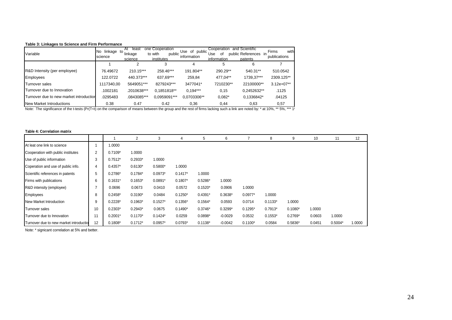### **Table 3: Linkages to Science and Firm Performance**

| Variable                                | linkage<br>No.<br>science | least<br>At<br>to<br>linkage<br>science | one Cooperation<br>public<br>to with<br>institutes | Use of public<br>information | Cooperation<br>Use<br>οf<br>information | and Scientific<br>public References<br>patents | with<br>Firms<br>publications |
|-----------------------------------------|---------------------------|-----------------------------------------|----------------------------------------------------|------------------------------|-----------------------------------------|------------------------------------------------|-------------------------------|
|                                         |                           |                                         |                                                    |                              | 5                                       | 6                                              |                               |
| R&D Intensity (per employee)            | 76.49672                  | 210.15***                               | 258.46***                                          | 191.804**                    | 290.29**                                | 540.31**                                       | 510.0542                      |
| Employees                               | 122.0722                  | 440.373***                              | 637.69***                                          | 259.84                       | 477.04**                                | 1739,37***                                     | 2309.125**                    |
| Turnover sales                          | 1117340,00                | 5649051***                              | 8279243***                                         | 3477041*                     | 7210230**                               | 22100000**                                     | $3.12e+07**$                  |
| Turnover due to Innovation              | .1002181                  | .2010638***                             | 0.1851818**                                        | $0.194***$                   | 0.15                                    | 0.2452632**                                    | .1125                         |
| Turnover due to new market introduction | .0295483                  | .0843085***                             | 0.0959091***                                       | 0.0703306**                  | $0.082*$                                | 0,1336842*                                     | .04125                        |
| <b>New Market Introductions</b>         | 0.38                      | 0.47                                    | 0.42                                               | 0,36                         | 0,44                                    | 0.63                                           | 0,57                          |

Note: The significance of the t-tests (Pr(T<t) on the comparison of means between the group and the rest of firms lacking such a link are noted by: \* at 10%, \*\* 5%, \*\*\* 1

#### **Table 4: Correlation matrix**

|                                        |                |           | $\mathbf{2}^{\prime}$ | 3         | 4         | 5         | 6         |           | 8         | 9         | 10     | 11        | 12     |
|----------------------------------------|----------------|-----------|-----------------------|-----------|-----------|-----------|-----------|-----------|-----------|-----------|--------|-----------|--------|
| At leat one link to science            |                | 1.0000    |                       |           |           |           |           |           |           |           |        |           |        |
| Cooperation with public institutes     | $\overline{2}$ | $0.7109*$ | 1.0000                |           |           |           |           |           |           |           |        |           |        |
| Use of public information              | 3              | $0.7512*$ | $0.2933*$             | 1.0000    |           |           |           |           |           |           |        |           |        |
| Coperation and use of public info.     | 4              | $0.4357*$ | $0.6130*$             | $0.5800*$ | 1.0000    |           |           |           |           |           |        |           |        |
| Scientific references in patents       | 5              | $0.2786*$ | $0.1784*$             | $0.0973*$ | $0.1417*$ | 1.0000    |           |           |           |           |        |           |        |
| Firms with publications                | 6              | $0.1631*$ | $0.1653*$             | $0.0891*$ | $0.1807*$ | $0.5286*$ | 1.0000    |           |           |           |        |           |        |
| R&D intensity (employee)               |                | 0.0696    | 0.0673                | 0.0410    | 0.0572    | $0.1520*$ | 0.0906    | 1.0000    |           |           |        |           |        |
| Employees                              | 8              | $0.2458*$ | $0.3190*$             | 0.0484    | $0.1250*$ | $0.4391*$ | $0.3638*$ | $0.0977*$ | 1.0000    |           |        |           |        |
| New Market Introduction                | 9              | $0.2228*$ | $0.1963*$             | $0.1527*$ | $0.1356*$ | $0.1564*$ | 0.0593    | 0.0714    | $0.1133*$ | 1.0000    |        |           |        |
| Turnover sales                         | 10             | $0.2303*$ | $0.2943*$             | 0.0675    | $0.1490*$ | $0.3746*$ | $0.3299*$ | $0.1295*$ | $0.7913*$ | $0.1080*$ | 1.0000 |           |        |
| Turnover due to Innovation             |                | $0.2001*$ | $0.1170*$             | $0.1424*$ | 0.0259    | $0.0898*$ | $-0.0029$ | 0.0532    | $0.1553*$ | $0.2769*$ | 0.0603 | 1.0000    |        |
| Turnover due to new market introductio | 12             | $0.1808*$ | $0.1712*$             | $0.0957*$ | $0.0793*$ | $0.1138*$ | $-0.0042$ | $0.1100*$ | 0.0584    | 0.5836*   | 0.0451 | $0.5004*$ | 1.0000 |

Note: \* signicant correlation at 5% and better.